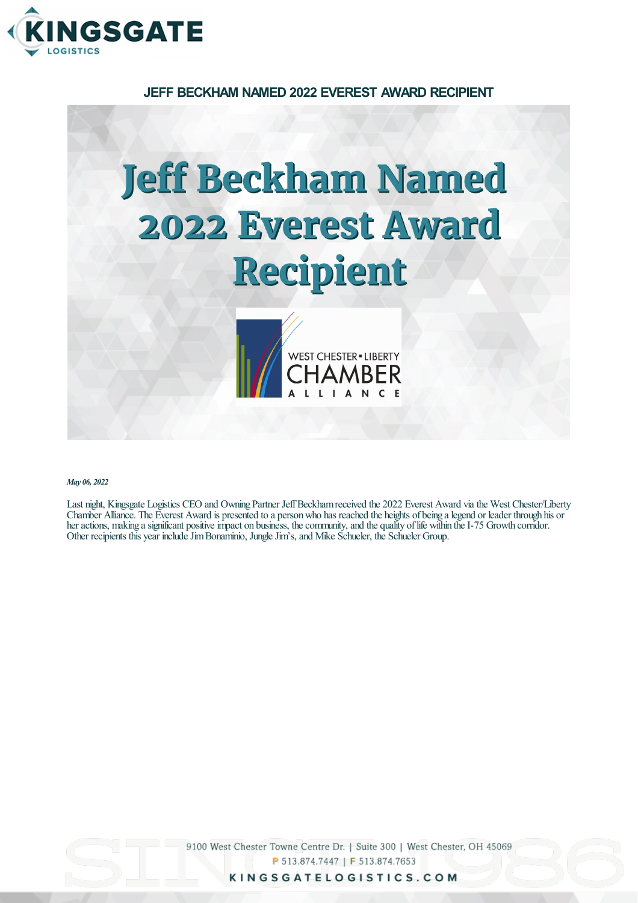

**JEFF BECKHAM NAMED 2022 EVEREST AWARD RECIPIENT**

## **Jeff Beckham Named 2022 Everest Award** Recipient



*May 06, 2022*

Last night, Kingsgate Logistics CEO and Owning Partner JeffBeckhamreceived the 2022 Everest Award viathe West Chester/Liberty Chamber Alliance. The Everest Award is presented to a person who has reached the heights of being a legend or leader through his or her actions, making a significant positive impact on business, the community, and the quality of life within the I-75 Growth corridor. Other recipients this year include Jim Bonaminio, Jungle Jim's, and Mike Schueler, the Schueler Group.

> 9100 West Chester Towne Centre Dr. | Suite 300 | West Chester, OH 45069 P 513.874.7447 | F 513.874.7653

> > KINGSGATELOGISTICS.COM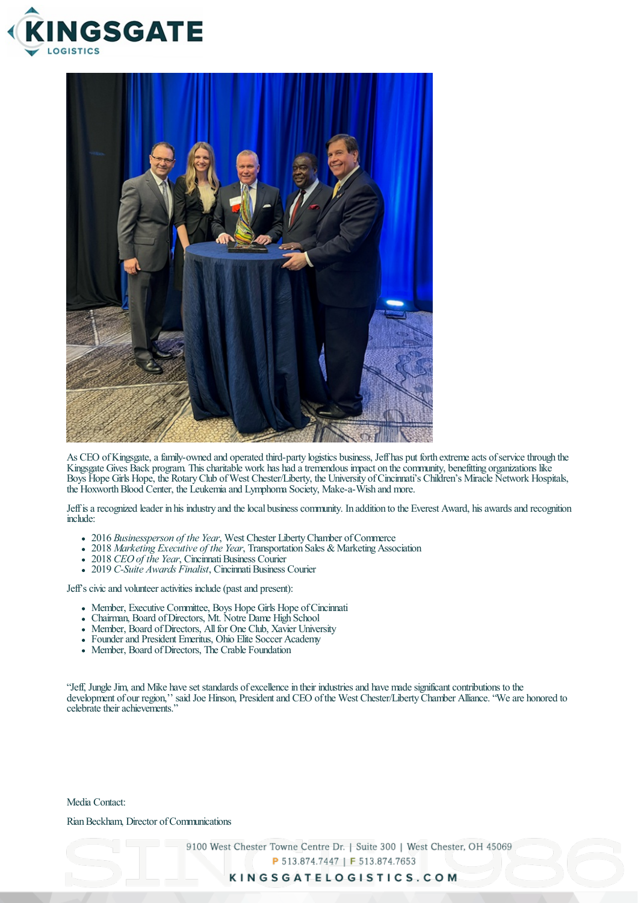



As CEO of Kingsgate, a family-owned and operated third-party logistics business, Jeff has put forth extreme acts of service through the Kingsgate Gives Back program. This charitable work has had a tremendous impact on the community, benefitting organizations like Boys Hope Girls Hope, the Rotary Club of West Chester/Liberty, the University of Cincinnati's Children's Miracle Network Hospitals, the Hoxworth Blood Center, the Leukemia and Lymphoma Society, Make-a-Wish and more.

Jeff is a recognized leader in his industry and the local business community. In addition to the Everest Award, his awards and recognition include:

- 2016 *Businessperson of the Year*, West Chester LibertyChamber ofCommerce
- 2018 *Marketing Executive of the Year*, Transportation Sales & Marketing Association
- 2018 *CEO of the Year*, Cincinnati Business Courier
- 2019 *C-Suite Awards Finalist*, Cincinnati Business Courier

Jeff's civic and volunteer activities include (past and present):

- Member, Executive Committee, Boys Hope Girls Hope of Cincinnati
- Chairman, Board ofDirectors, Mt. Notre Dame High School
- Member, Board of Directors, All for One Club, Xavier University
- Founder and President Emeritus, Ohio Elite Soccer Academy
- Member, Board of Directors, The Crable Foundation

"Jeff, Jungle Jim, and Mike have set standards of excellence in their industries and have made significant contributions to the development of our region," said Joe Hinson, President and CEO of the West Chester/Liberty Chamber Alliance. "We are honored to celebrate their achievements."

Media Contact:

## Rian Beckham, Director of Communications

9100 West Chester Towne Centre Dr. | Suite 300 | West Chester, OH 45069

P 513.874.7447 | F 513.874.7653

## KINGSGATELOGISTICS.COM